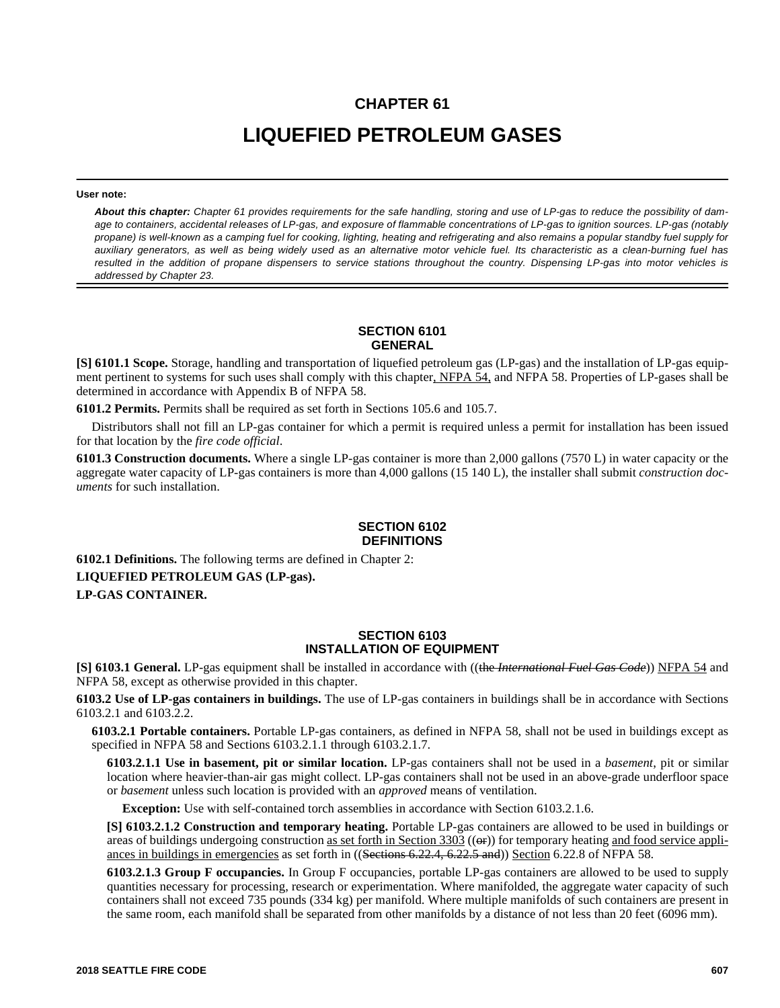# **CHAPTER 61**

# **LIQUEFIED PETROLEUM GASES**

#### **User note:**

*About this chapter: Chapter 61 provides requirements for the safe handling, storing and use of LP-gas to reduce the possibility of damage to containers, accidental releases of LP-gas, and exposure of flammable concentrations of LP-gas to ignition sources. LP-gas (notably propane) is well-known as a camping fuel for cooking, lighting, heating and refrigerating and also remains a popular standby fuel supply for auxiliary generators, as well as being widely used as an alternative motor vehicle fuel. Its characteristic as a clean-burning fuel has resulted in the addition of propane dispensers to service stations throughout the country. Dispensing LP-gas into motor vehicles is addressed by Chapter 23.*

### **SECTION 6101 GENERAL**

**[S] 6101.1 Scope.** Storage, handling and transportation of liquefied petroleum gas (LP-gas) and the installation of LP-gas equipment pertinent to systems for such uses shall comply with this chapter, NFPA 54, and NFPA 58. Properties of LP-gases shall be determined in accordance with Appendix B of NFPA 58.

**6101.2 Permits.** Permits shall be required as set forth in Sections 105.6 and 105.7.

Distributors shall not fill an LP-gas container for which a permit is required unless a permit for installation has been issued for that location by the *fire code official*.

**6101.3 Construction documents.** Where a single LP-gas container is more than 2,000 gallons (7570 L) in water capacity or the aggregate water capacity of LP-gas containers is more than 4,000 gallons (15 140 L), the installer shall submit *construction documents* for such installation.

### **SECTION 6102 DEFINITIONS**

**6102.1 Definitions.** The following terms are defined in Chapter 2: **LIQUEFIED PETROLEUM GAS (LP-gas). LP-GAS CONTAINER.** 

### **SECTION 6103 INSTALLATION OF EQUIPMENT**

**[S] 6103.1 General.** LP-gas equipment shall be installed in accordance with ((the *International Fuel Gas Code*)) NFPA 54 and NFPA 58, except as otherwise provided in this chapter.

**6103.2 Use of LP-gas containers in buildings.** The use of LP-gas containers in buildings shall be in accordance with Sections 6103.2.1 and 6103.2.2.

**6103.2.1 Portable containers.** Portable LP-gas containers, as defined in NFPA 58, shall not be used in buildings except as specified in NFPA 58 and Sections 6103.2.1.1 through 6103.2.1.7.

**6103.2.1.1 Use in basement, pit or similar location.** LP-gas containers shall not be used in a *basement*, pit or similar location where heavier-than-air gas might collect. LP-gas containers shall not be used in an above-grade underfloor space or *basement* unless such location is provided with an *approved* means of ventilation.

**Exception:** Use with self-contained torch assemblies in accordance with Section 6103.2.1.6.

**[S] 6103.2.1.2 Construction and temporary heating.** Portable LP-gas containers are allowed to be used in buildings or areas of buildings undergoing construction <u>as set forth in Section 3303</u> ((or)) for temporary heating and food service appliances in buildings in emergencies as set forth in ((Sections 6.22.4, 6.22.5 and)) Section 6.22.8 of NFPA 58.

**6103.2.1.3 Group F occupancies.** In Group F occupancies, portable LP-gas containers are allowed to be used to supply quantities necessary for processing, research or experimentation. Where manifolded, the aggregate water capacity of such containers shall not exceed 735 pounds (334 kg) per manifold. Where multiple manifolds of such containers are present in the same room, each manifold shall be separated from other manifolds by a distance of not less than 20 feet (6096 mm).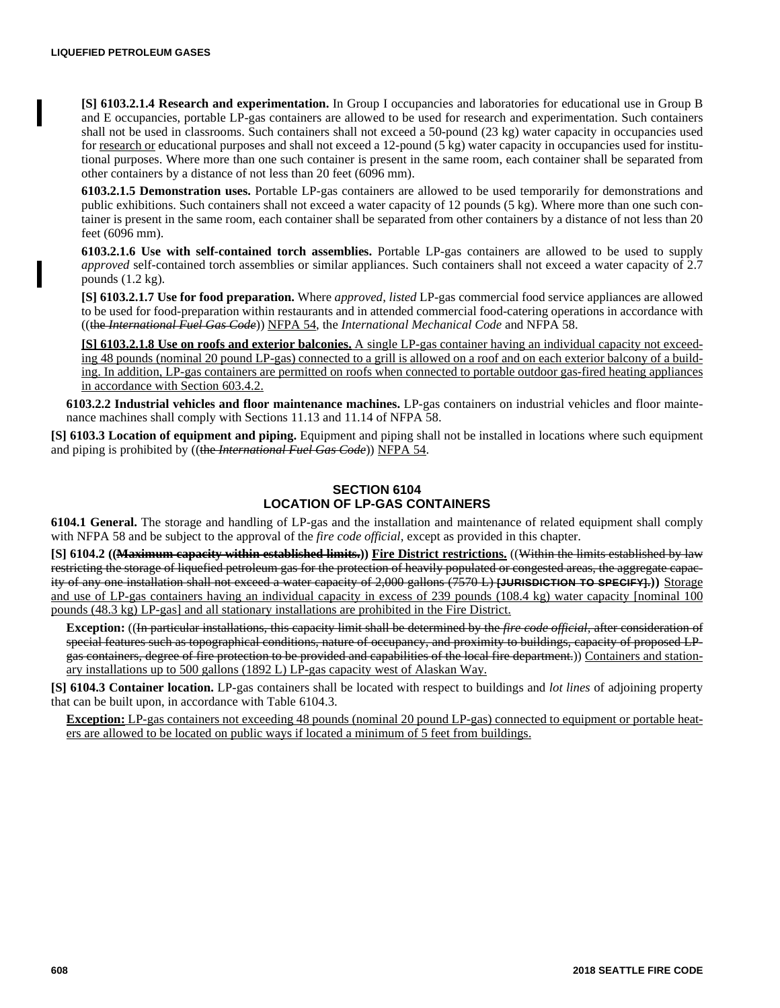**[S] 6103.2.1.4 Research and experimentation.** In Group I occupancies and laboratories for educational use in Group B and E occupancies, portable LP-gas containers are allowed to be used for research and experimentation. Such containers shall not be used in classrooms. Such containers shall not exceed a 50-pound (23 kg) water capacity in occupancies used for research or educational purposes and shall not exceed a 12-pound (5 kg) water capacity in occupancies used for institutional purposes. Where more than one such container is present in the same room, each container shall be separated from other containers by a distance of not less than 20 feet (6096 mm).

**6103.2.1.5 Demonstration uses.** Portable LP-gas containers are allowed to be used temporarily for demonstrations and public exhibitions. Such containers shall not exceed a water capacity of 12 pounds (5 kg). Where more than one such container is present in the same room, each container shall be separated from other containers by a distance of not less than 20 feet (6096 mm).

**6103.2.1.6 Use with self-contained torch assemblies.** Portable LP-gas containers are allowed to be used to supply *approved* self-contained torch assemblies or similar appliances. Such containers shall not exceed a water capacity of 2.7 pounds (1.2 kg).

**[S] 6103.2.1.7 Use for food preparation.** Where *approved*, *listed* LP-gas commercial food service appliances are allowed to be used for food-preparation within restaurants and in attended commercial food-catering operations in accordance with ((the *International Fuel Gas Code*)) NFPA 54, the *International Mechanical Code* and NFPA 58.

**[S] 6103.2.1.8 Use on roofs and exterior balconies.** A single LP-gas container having an individual capacity not exceeding 48 pounds (nominal 20 pound LP-gas) connected to a grill is allowed on a roof and on each exterior balcony of a building. In addition, LP-gas containers are permitted on roofs when connected to portable outdoor gas-fired heating appliances in accordance with Section 603.4.2.

**6103.2.2 Industrial vehicles and floor maintenance machines.** LP-gas containers on industrial vehicles and floor maintenance machines shall comply with Sections 11.13 and 11.14 of NFPA 58.

**[S] 6103.3 Location of equipment and piping.** Equipment and piping shall not be installed in locations where such equipment and piping is prohibited by ((the *International Fuel Gas Code*)) NFPA 54.

# **SECTION 6104 LOCATION OF LP-GAS CONTAINERS**

**6104.1 General.** The storage and handling of LP-gas and the installation and maintenance of related equipment shall comply with NFPA 58 and be subject to the approval of the *fire code official*, except as provided in this chapter.

**[S] 6104.2 ((Maximum capacity within established limits.)) Fire District restrictions.** ((Within the limits established by law restricting the storage of liquefied petroleum gas for the protection of heavily populated or congested areas, the aggregate capacity of any one installation shall not exceed a water capacity of 2,000 gallons (7570 L) **[JURISDICTION TO SPECIFY].))** Storage and use of LP-gas containers having an individual capacity in excess of 239 pounds (108.4 kg) water capacity [nominal 100 pounds (48.3 kg) LP-gas] and all stationary installations are prohibited in the Fire District.

**Exception:** ((In particular installations, this capacity limit shall be determined by the *fire code official*, after consideration of special features such as topographical conditions, nature of occupancy, and proximity to buildings, capacity of proposed LPgas containers, degree of fire protection to be provided and capabilities of the local fire department.)) Containers and stationary installations up to 500 gallons (1892 L) LP-gas capacity west of Alaskan Way.

**[S] 6104.3 Container location.** LP-gas containers shall be located with respect to buildings and *lot lines* of adjoining property that can be built upon, in accordance with Table 6104.3.

**Exception:** LP-gas containers not exceeding 48 pounds (nominal 20 pound LP-gas) connected to equipment or portable heaters are allowed to be located on public ways if located a minimum of 5 feet from buildings.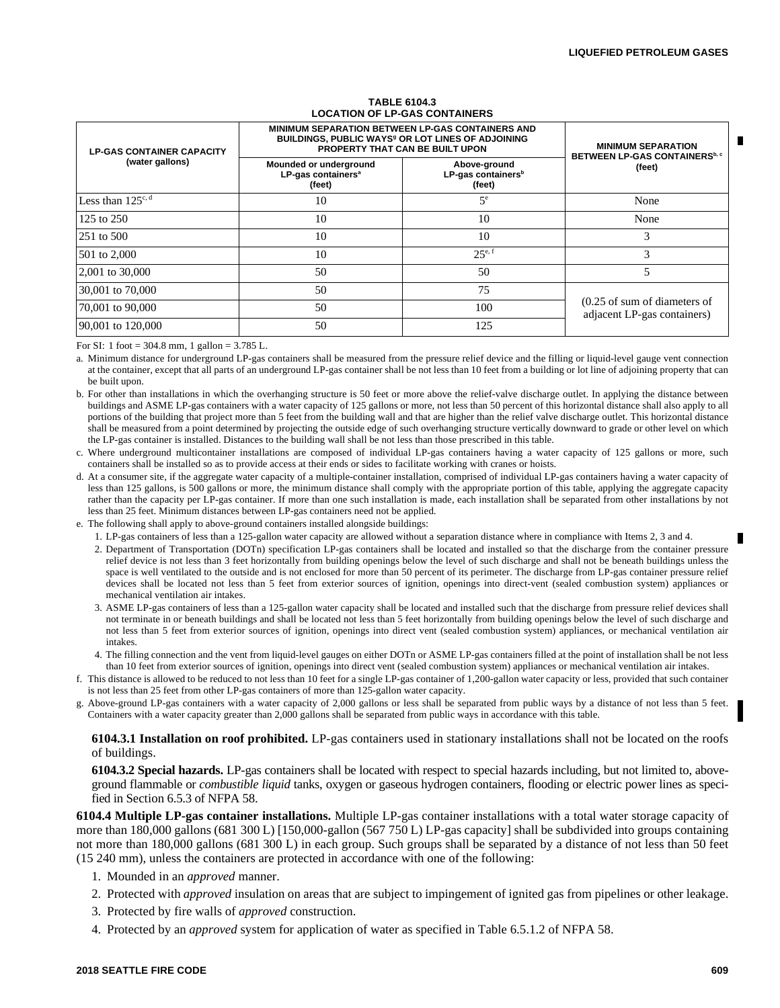| <b>LP-GAS CONTAINER CAPACITY</b><br>(water gallons) | <b>MINIMUM SEPARATION BETWEEN LP-GAS CONTAINERS AND</b><br>BUILDINGS, PUBLIC WAYS <sup>9</sup> OR LOT LINES OF ADJOINING<br>PROPERTY THAT CAN BE BUILT UPON | <b>MINIMUM SEPARATION</b><br>BETWEEN LP-GAS CONTAINERS <sup>b, c</sup> |                                                                        |  |  |
|-----------------------------------------------------|-------------------------------------------------------------------------------------------------------------------------------------------------------------|------------------------------------------------------------------------|------------------------------------------------------------------------|--|--|
|                                                     | Mounded or underground<br>LP-gas containers <sup>a</sup><br>(feet)                                                                                          | Above-ground<br>LP-gas containers <sup>b</sup><br>(feet)               | (feet)                                                                 |  |  |
| Less than 125 <sup>c, d</sup>                       | 10                                                                                                                                                          | 5 <sup>e</sup>                                                         | None                                                                   |  |  |
| 125 to $250$                                        | 10                                                                                                                                                          | 10                                                                     | None                                                                   |  |  |
| 251 to 500                                          | 10                                                                                                                                                          | 10                                                                     |                                                                        |  |  |
| 501 to 2,000                                        | 10                                                                                                                                                          | $25^{e,f}$                                                             | 3                                                                      |  |  |
| 2,001 to 30,000                                     | 50                                                                                                                                                          | 50                                                                     |                                                                        |  |  |
| 30,001 to 70,000                                    | 50                                                                                                                                                          | 75                                                                     |                                                                        |  |  |
| 70,001 to 90,000                                    | 50                                                                                                                                                          | 100                                                                    | $(0.25 \text{ of sum of diameters of})$<br>adjacent LP-gas containers) |  |  |
| 90,001 to 120,000                                   | 50                                                                                                                                                          | 125                                                                    |                                                                        |  |  |

#### **TABLE 6104.3 LOCATION OF LP-GAS CONTAINERS**

For SI: 1 foot =  $304.8$  mm, 1 gallon =  $3.785$  L.

a. Minimum distance for underground LP-gas containers shall be measured from the pressure relief device and the filling or liquid-level gauge vent connection at the container, except that all parts of an underground LP-gas container shall be not less than 10 feet from a building or lot line of adjoining property that can be built upon.

b. For other than installations in which the overhanging structure is 50 feet or more above the relief-valve discharge outlet. In applying the distance between buildings and ASME LP-gas containers with a water capacity of 125 gallons or more, not less than 50 percent of this horizontal distance shall also apply to all portions of the building that project more than 5 feet from the building wall and that are higher than the relief valve discharge outlet. This horizontal distance shall be measured from a point determined by projecting the outside edge of such overhanging structure vertically downward to grade or other level on which the LP-gas container is installed. Distances to the building wall shall be not less than those prescribed in this table.

c. Where underground multicontainer installations are composed of individual LP-gas containers having a water capacity of 125 gallons or more, such containers shall be installed so as to provide access at their ends or sides to facilitate working with cranes or hoists.

d. At a consumer site, if the aggregate water capacity of a multiple-container installation, comprised of individual LP-gas containers having a water capacity of less than 125 gallons, is 500 gallons or more, the minimum distance shall comply with the appropriate portion of this table, applying the aggregate capacity rather than the capacity per LP-gas container. If more than one such installation is made, each installation shall be separated from other installations by not less than 25 feet. Minimum distances between LP-gas containers need not be applied.

e. The following shall apply to above-ground containers installed alongside buildings:

1. LP-gas containers of less than a 125-gallon water capacity are allowed without a separation distance where in compliance with Items 2, 3 and 4.

2. Department of Transportation (DOTn) specification LP-gas containers shall be located and installed so that the discharge from the container pressure relief device is not less than 3 feet horizontally from building openings below the level of such discharge and shall not be beneath buildings unless the space is well ventilated to the outside and is not enclosed for more than 50 percent of its perimeter. The discharge from LP-gas container pressure relief devices shall be located not less than 5 feet from exterior sources of ignition, openings into direct-vent (sealed combustion system) appliances or mechanical ventilation air intakes.

- 3. ASME LP-gas containers of less than a 125-gallon water capacity shall be located and installed such that the discharge from pressure relief devices shall not terminate in or beneath buildings and shall be located not less than 5 feet horizontally from building openings below the level of such discharge and not less than 5 feet from exterior sources of ignition, openings into direct vent (sealed combustion system) appliances, or mechanical ventilation air intakes.
- 4. The filling connection and the vent from liquid-level gauges on either DOTn or ASME LP-gas containers filled at the point of installation shall be not less than 10 feet from exterior sources of ignition, openings into direct vent (sealed combustion system) appliances or mechanical ventilation air intakes.
- f. This distance is allowed to be reduced to not less than 10 feet for a single LP-gas container of 1,200-gallon water capacity or less, provided that such container is not less than 25 feet from other LP-gas containers of more than 125-gallon water capacity.
- g. Above-ground LP-gas containers with a water capacity of 2,000 gallons or less shall be separated from public ways by a distance of not less than 5 feet. Containers with a water capacity greater than 2,000 gallons shall be separated from public ways in accordance with this table.

### **6104.3.1 Installation on roof prohibited.** LP-gas containers used in stationary installations shall not be located on the roofs of buildings.

**6104.3.2 Special hazards.** LP-gas containers shall be located with respect to special hazards including, but not limited to, aboveground flammable or *combustible liquid* tanks, oxygen or gaseous hydrogen containers, flooding or electric power lines as specified in Section 6.5.3 of NFPA 58.

**6104.4 Multiple LP-gas container installations.** Multiple LP-gas container installations with a total water storage capacity of more than 180,000 gallons (681 300 L) [150,000-gallon (567 750 L) LP-gas capacity] shall be subdivided into groups containing not more than 180,000 gallons (681 300 L) in each group. Such groups shall be separated by a distance of not less than 50 feet (15 240 mm), unless the containers are protected in accordance with one of the following:

- 1. Mounded in an *approved* manner.
- 2. Protected with *approved* insulation on areas that are subject to impingement of ignited gas from pipelines or other leakage.
- 3. Protected by fire walls of *approved* construction.
- 4. Protected by an *approved* system for application of water as specified in Table 6.5.1.2 of NFPA 58.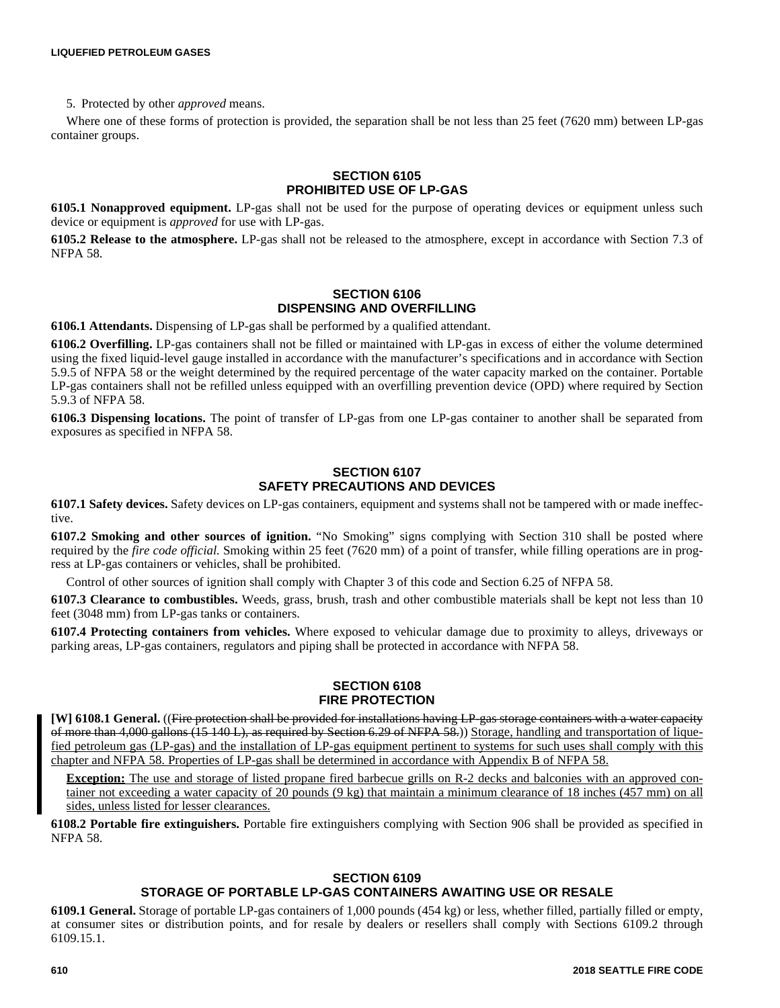5. Protected by other *approved* means.

Where one of these forms of protection is provided, the separation shall be not less than 25 feet (7620 mm) between LP-gas container groups.

# **SECTION 6105 PROHIBITED USE OF LP-GAS**

**6105.1 Nonapproved equipment.** LP-gas shall not be used for the purpose of operating devices or equipment unless such device or equipment is *approved* for use with LP-gas.

**6105.2 Release to the atmosphere.** LP-gas shall not be released to the atmosphere, except in accordance with Section 7.3 of NFPA 58.

# **SECTION 6106 DISPENSING AND OVERFILLING**

**6106.1 Attendants.** Dispensing of LP-gas shall be performed by a qualified attendant.

**6106.2 Overfilling.** LP-gas containers shall not be filled or maintained with LP-gas in excess of either the volume determined using the fixed liquid-level gauge installed in accordance with the manufacturer's specifications and in accordance with Section 5.9.5 of NFPA 58 or the weight determined by the required percentage of the water capacity marked on the container. Portable LP-gas containers shall not be refilled unless equipped with an overfilling prevention device (OPD) where required by Section 5.9.3 of NFPA 58.

**6106.3 Dispensing locations.** The point of transfer of LP-gas from one LP-gas container to another shall be separated from exposures as specified in NFPA 58.

# **SECTION 6107 SAFETY PRECAUTIONS AND DEVICES**

**6107.1 Safety devices.** Safety devices on LP-gas containers, equipment and systems shall not be tampered with or made ineffective.

**6107.2 Smoking and other sources of ignition.** "No Smoking" signs complying with Section 310 shall be posted where required by the *fire code official.* Smoking within 25 feet (7620 mm) of a point of transfer, while filling operations are in progress at LP-gas containers or vehicles, shall be prohibited.

Control of other sources of ignition shall comply with Chapter 3 of this code and Section 6.25 of NFPA 58.

**6107.3 Clearance to combustibles.** Weeds, grass, brush, trash and other combustible materials shall be kept not less than 10 feet (3048 mm) from LP-gas tanks or containers.

**6107.4 Protecting containers from vehicles.** Where exposed to vehicular damage due to proximity to alleys, driveways or parking areas, LP-gas containers, regulators and piping shall be protected in accordance with NFPA 58.

# **SECTION 6108 FIRE PROTECTION**

**[W] 6108.1 General.** ((Fire protection shall be provided for installations having LP-gas storage containers with a water capacity of more than 4,000 gallons (15 140 L), as required by Section 6.29 of NFPA 58.)) Storage, handling and transportation of liquefied petroleum gas (LP-gas) and the installation of LP-gas equipment pertinent to systems for such uses shall comply with this chapter and NFPA 58. Properties of LP-gas shall be determined in accordance with Appendix B of NFPA 58.

**Exception:** The use and storage of listed propane fired barbecue grills on R-2 decks and balconies with an approved container not exceeding a water capacity of 20 pounds (9 kg) that maintain a minimum clearance of 18 inches (457 mm) on all sides, unless listed for lesser clearances.

**6108.2 Portable fire extinguishers.** Portable fire extinguishers complying with Section 906 shall be provided as specified in NFPA 58.

# **SECTION 6109**

# **STORAGE OF PORTABLE LP-GAS CONTAINERS AWAITING USE OR RESALE**

**6109.1 General.** Storage of portable LP-gas containers of 1,000 pounds (454 kg) or less, whether filled, partially filled or empty, at consumer sites or distribution points, and for resale by dealers or resellers shall comply with Sections 6109.2 through 6109.15.1.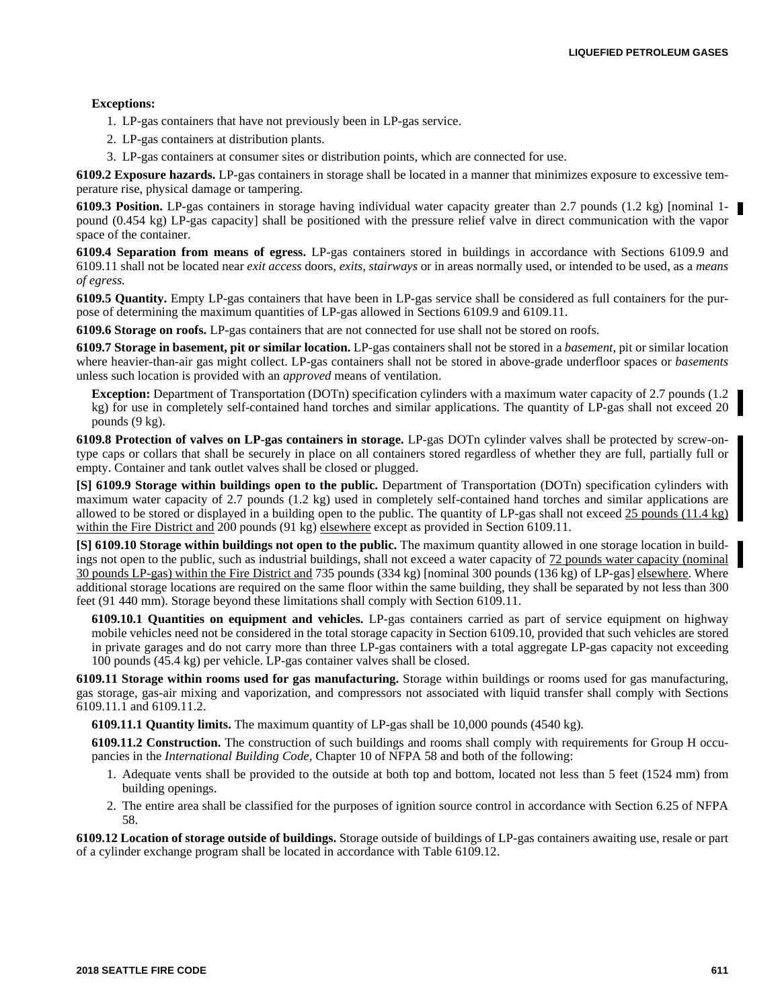# **Exceptions:**

- 1. LP-gas containers that have not previously been in LP-gas service.
- 2. LP-gas containers at distribution plants.
- 3. LP-gas containers at consumer sites or distribution points, which are connected for use.

**6109.2 Exposure hazards.** LP-gas containers in storage shall be located in a manner that minimizes exposure to excessive temperature rise, physical damage or tampering.

**6109.3 Position.** LP-gas containers in storage having individual water capacity greater than 2.7 pounds (1.2 kg) [nominal 1pound (0.454 kg) LP-gas capacity] shall be positioned with the pressure relief valve in direct communication with the vapor space of the container.

**6109.4 Separation from means of egress.** LP-gas containers stored in buildings in accordance with Sections 6109.9 and 6109.11 shall not be located near *exit access* doors, *exits, stairways* or in areas normally used, or intended to be used, as a *means of egress.*

**6109.5 Quantity.** Empty LP-gas containers that have been in LP-gas service shall be considered as full containers for the purpose of determining the maximum quantities of LP-gas allowed in Sections 6109.9 and 6109.11.

**6109.6 Storage on roofs.** LP-gas containers that are not connected for use shall not be stored on roofs.

**6109.7 Storage in basement, pit or similar location.** LP-gas containers shall not be stored in a *basement*, pit or similar location where heavier-than-air gas might collect. LP-gas containers shall not be stored in above-grade underfloor spaces or *basements* unless such location is provided with an *approved* means of ventilation.

**Exception:** Department of Transportation (DOTn) specification cylinders with a maximum water capacity of 2.7 pounds (1.2 kg) for use in completely self-contained hand torches and similar applications. The quantity of LP-gas shall not exceed 20 pounds (9 kg).

**6109.8 Protection of valves on LP-gas containers in storage.** LP-gas DOTn cylinder valves shall be protected by screw-ontype caps or collars that shall be securely in place on all containers stored regardless of whether they are full, partially full or empty. Container and tank outlet valves shall be closed or plugged.

**[S] 6109.9 Storage within buildings open to the public.** Department of Transportation (DOTn) specification cylinders with maximum water capacity of 2.7 pounds (1.2 kg) used in completely self-contained hand torches and similar applications are allowed to be stored or displayed in a building open to the public. The quantity of LP-gas shall not exceed 25 pounds (11.4 kg) within the Fire District and 200 pounds (91 kg) elsewhere except as provided in Section 6109.11.

**[S] 6109.10 Storage within buildings not open to the public.** The maximum quantity allowed in one storage location in buildings not open to the public, such as industrial buildings, shall not exceed a water capacity of 72 pounds water capacity (nominal 30 pounds LP-gas) within the Fire District and 735 pounds (334 kg) [nominal 300 pounds (136 kg) of LP-gas] elsewhere. Where additional storage locations are required on the same floor within the same building, they shall be separated by not less than 300 feet (91 440 mm). Storage beyond these limitations shall comply with Section 6109.11.

**6109.10.1 Quantities on equipment and vehicles.** LP-gas containers carried as part of service equipment on highway mobile vehicles need not be considered in the total storage capacity in Section 6109.10, provided that such vehicles are stored in private garages and do not carry more than three LP-gas containers with a total aggregate LP-gas capacity not exceeding 100 pounds (45.4 kg) per vehicle. LP-gas container valves shall be closed.

**6109.11 Storage within rooms used for gas manufacturing.** Storage within buildings or rooms used for gas manufacturing, gas storage, gas-air mixing and vaporization, and compressors not associated with liquid transfer shall comply with Sections 6109.11.1 and 6109.11.2.

**6109.11.1 Quantity limits.** The maximum quantity of LP-gas shall be 10,000 pounds (4540 kg).

**6109.11.2 Construction.** The construction of such buildings and rooms shall comply with requirements for Group H occupancies in the *International Building Code*, Chapter 10 of NFPA 58 and both of the following:

- 1. Adequate vents shall be provided to the outside at both top and bottom, located not less than 5 feet (1524 mm) from building openings.
- 2. The entire area shall be classified for the purposes of ignition source control in accordance with Section 6.25 of NFPA 58.

**6109.12 Location of storage outside of buildings.** Storage outside of buildings of LP-gas containers awaiting use, resale or part of a cylinder exchange program shall be located in accordance with Table 6109.12.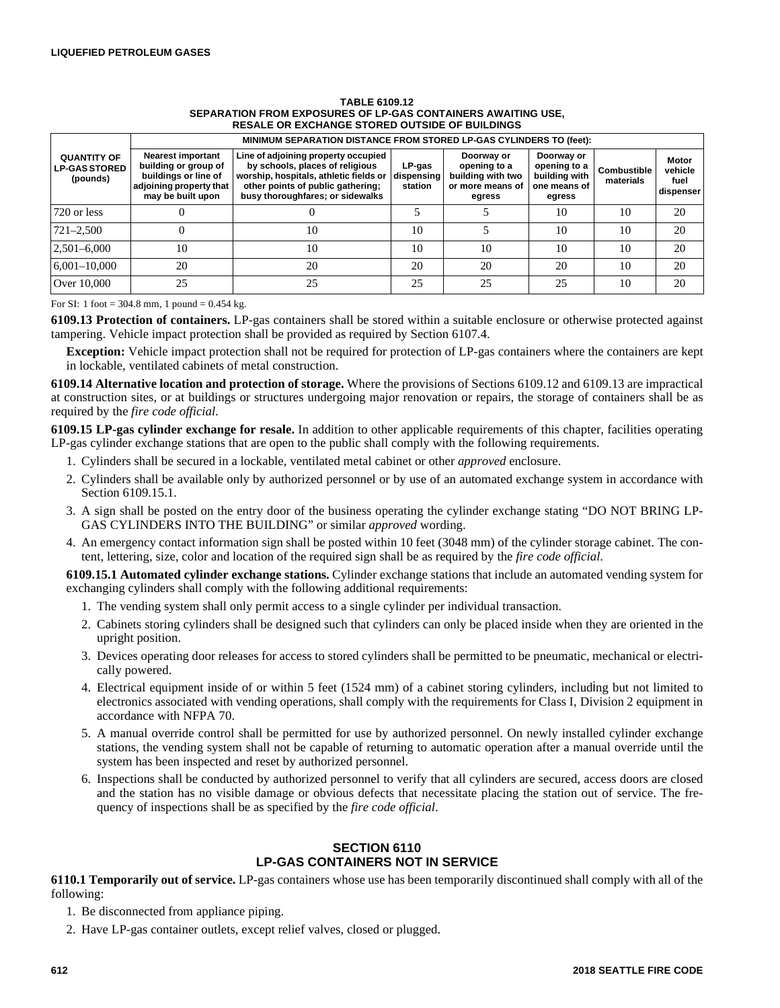### **TABLE 6109.12 SEPARATION FROM EXPOSURES OF LP-GAS CONTAINERS AWAITING USE, RESALE OR EXCHANGE STORED OUTSIDE OF BUILDINGS**

|                                                        | MINIMUM SEPARATION DISTANCE FROM STORED LP-GAS CYLINDERS TO (feet):                                                      |                                                                                                                                                                                           |                                 |                                                                               |                                                                       |                                 |                                       |  |  |
|--------------------------------------------------------|--------------------------------------------------------------------------------------------------------------------------|-------------------------------------------------------------------------------------------------------------------------------------------------------------------------------------------|---------------------------------|-------------------------------------------------------------------------------|-----------------------------------------------------------------------|---------------------------------|---------------------------------------|--|--|
| <b>QUANTITY OF</b><br><b>LP-GAS STORED</b><br>(pounds) | <b>Nearest important</b><br>building or group of<br>buildings or line of<br>adjoining property that<br>may be built upon | Line of adjoining property occupied<br>by schools, places of religious<br>worship, hospitals, athletic fields or<br>other points of public gathering;<br>busy thoroughfares; or sidewalks | LP-gas<br>dispensing<br>station | Doorway or<br>opening to a<br>building with two<br>or more means of<br>egress | Doorway or<br>opening to a<br>building with<br>one means of<br>egress | <b>Combustible</b><br>materials | Motor<br>vehicle<br>fuel<br>dispenser |  |  |
| 720 or less                                            |                                                                                                                          |                                                                                                                                                                                           |                                 |                                                                               | 10                                                                    | 10                              | 20                                    |  |  |
| $721 - 2,500$                                          |                                                                                                                          | 10                                                                                                                                                                                        | 10                              |                                                                               | 10                                                                    | 10                              | 20                                    |  |  |
| $2,501 - 6,000$                                        | 10                                                                                                                       | 10                                                                                                                                                                                        | 10                              | 10                                                                            | 10                                                                    | 10                              | 20                                    |  |  |
| $6,001-10,000$                                         | 20                                                                                                                       | 20                                                                                                                                                                                        | 20                              | 20                                                                            | 20                                                                    | 10                              | 20                                    |  |  |
| Over 10,000                                            | 25                                                                                                                       | 25                                                                                                                                                                                        | 25                              | 25                                                                            | 25                                                                    | 10                              | 20                                    |  |  |

For SI: 1 foot =  $304.8$  mm, 1 pound =  $0.454$  kg.

**6109.13 Protection of containers.** LP-gas containers shall be stored within a suitable enclosure or otherwise protected against tampering. Vehicle impact protection shall be provided as required by Section 6107.4.

**Exception:** Vehicle impact protection shall not be required for protection of LP-gas containers where the containers are kept in lockable, ventilated cabinets of metal construction.

**6109.14 Alternative location and protection of storage.** Where the provisions of Sections 6109.12 and 6109.13 are impractical at construction sites, or at buildings or structures undergoing major renovation or repairs, the storage of containers shall be as required by the *fire code official*.

**6109.15 LP-gas cylinder exchange for resale.** In addition to other applicable requirements of this chapter, facilities operating LP-gas cylinder exchange stations that are open to the public shall comply with the following requirements.

- 1. Cylinders shall be secured in a lockable, ventilated metal cabinet or other *approved* enclosure.
- 2. Cylinders shall be available only by authorized personnel or by use of an automated exchange system in accordance with Section 6109.15.1.
- 3. A sign shall be posted on the entry door of the business operating the cylinder exchange stating "DO NOT BRING LP-GAS CYLINDERS INTO THE BUILDING" or similar *approved* wording.
- 4. An emergency contact information sign shall be posted within 10 feet (3048 mm) of the cylinder storage cabinet. The content, lettering, size, color and location of the required sign shall be as required by the *fire code official*.

**6109.15.1 Automated cylinder exchange stations.** Cylinder exchange stations that include an automated vending system for exchanging cylinders shall comply with the following additional requirements:

- 1. The vending system shall only permit access to a single cylinder per individual transaction.
- 2. Cabinets storing cylinders shall be designed such that cylinders can only be placed inside when they are oriented in the upright position.
- 3. Devices operating door releases for access to stored cylinders shall be permitted to be pneumatic, mechanical or electrically powered.
- 4. Electrical equipment inside of or within 5 feet (1524 mm) of a cabinet storing cylinders, including but not limited to electronics associated with vending operations, shall comply with the requirements for Class I, Division 2 equipment in accordance with NFPA 70.
- 5. A manual override control shall be permitted for use by authorized personnel. On newly installed cylinder exchange stations, the vending system shall not be capable of returning to automatic operation after a manual override until the system has been inspected and reset by authorized personnel.
- 6. Inspections shall be conducted by authorized personnel to verify that all cylinders are secured, access doors are closed and the station has no visible damage or obvious defects that necessitate placing the station out of service. The frequency of inspections shall be as specified by the *fire code official*.

# **SECTION 6110 LP-GAS CONTAINERS NOT IN SERVICE**

**6110.1 Temporarily out of service.** LP-gas containers whose use has been temporarily discontinued shall comply with all of the following:

- 1. Be disconnected from appliance piping.
- 2. Have LP-gas container outlets, except relief valves, closed or plugged.